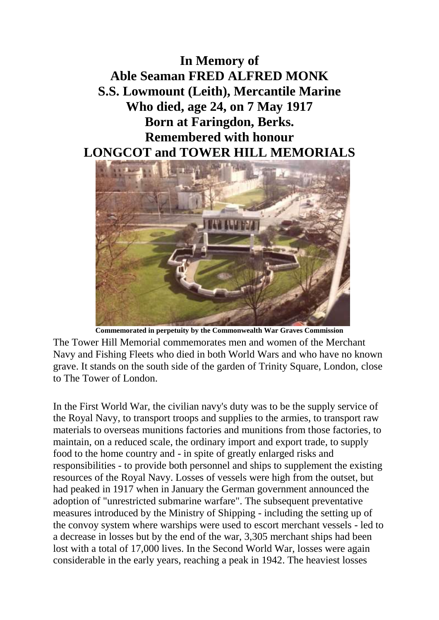**In Memory of Able Seaman FRED ALFRED MONK S.S. Lowmount (Leith), Mercantile Marine Who died, age 24, on 7 May 1917 Born at Faringdon, Berks. Remembered with honour LONGCOT and TOWER HILL MEMORIALS**



**Commemorated in perpetuity by the Commonwealth War Graves Commission** 

The Tower Hill Memorial commemorates men and women of the Merchant Navy and Fishing Fleets who died in both World Wars and who have no known grave. It stands on the south side of the garden of Trinity Square, London, close to The Tower of London.

In the First World War, the civilian navy's duty was to be the supply service of the Royal Navy, to transport troops and supplies to the armies, to transport raw materials to overseas munitions factories and munitions from those factories, to maintain, on a reduced scale, the ordinary import and export trade, to supply food to the home country and - in spite of greatly enlarged risks and responsibilities - to provide both personnel and ships to supplement the existing resources of the Royal Navy. Losses of vessels were high from the outset, but had peaked in 1917 when in January the German government announced the adoption of "unrestricted submarine warfare". The subsequent preventative measures introduced by the Ministry of Shipping - including the setting up of the convoy system where warships were used to escort merchant vessels - led to a decrease in losses but by the end of the war, 3,305 merchant ships had been lost with a total of 17,000 lives. In the Second World War, losses were again considerable in the early years, reaching a peak in 1942. The heaviest losses